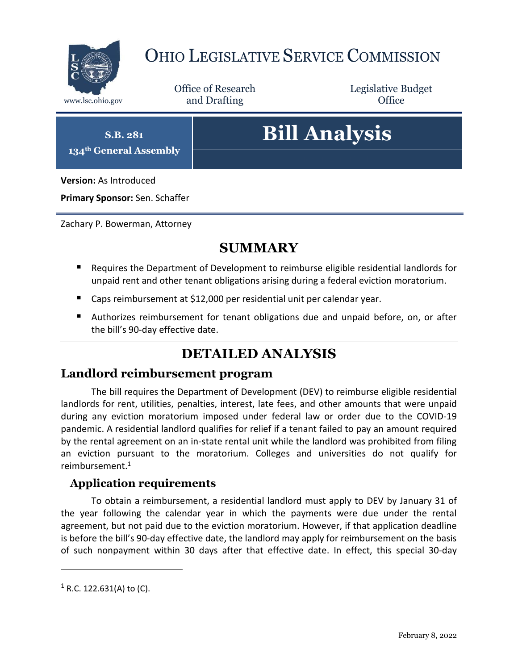

## OHIO LEGISLATIVE SERVICE COMMISSION

Office of Research www.lsc.ohio.gov **and Drafting Office** 

Legislative Budget

**S.B. 281 134th General Assembly**

# **Bill Analysis**

**Version:** As Introduced

**Primary Sponsor:** Sen. Schaffer

Zachary P. Bowerman, Attorney

### **SUMMARY**

- Requires the Department of Development to reimburse eligible residential landlords for unpaid rent and other tenant obligations arising during a federal eviction moratorium.
- Caps reimbursement at \$12,000 per residential unit per calendar year.
- Authorizes reimbursement for tenant obligations due and unpaid before, on, or after the bill's 90-day effective date.

## **DETAILED ANALYSIS**

#### **Landlord reimbursement program**

The bill requires the Department of Development (DEV) to reimburse eligible residential landlords for rent, utilities, penalties, interest, late fees, and other amounts that were unpaid during any eviction moratorium imposed under federal law or order due to the COVID-19 pandemic. A residential landlord qualifies for relief if a tenant failed to pay an amount required by the rental agreement on an in-state rental unit while the landlord was prohibited from filing an eviction pursuant to the moratorium. Colleges and universities do not qualify for reimbursement.<sup>1</sup>

#### **Application requirements**

To obtain a reimbursement, a residential landlord must apply to DEV by January 31 of the year following the calendar year in which the payments were due under the rental agreement, but not paid due to the eviction moratorium. However, if that application deadline is before the bill's 90-day effective date, the landlord may apply for reimbursement on the basis of such nonpayment within 30 days after that effective date. In effect, this special 30-day

 $\overline{a}$ 

 $1$  R.C. 122.631(A) to (C).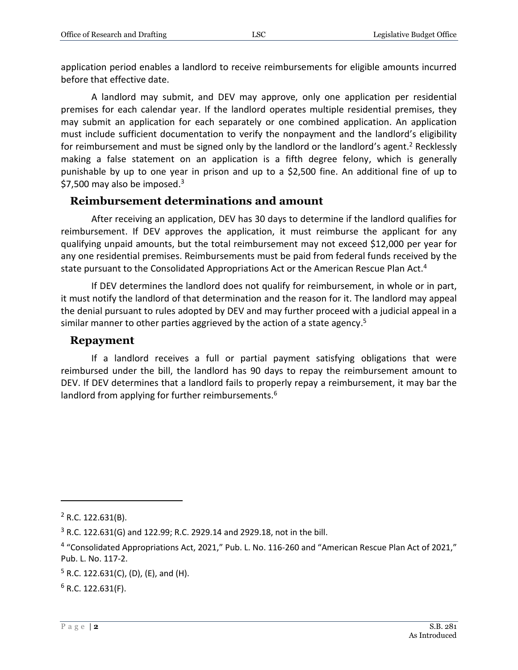application period enables a landlord to receive reimbursements for eligible amounts incurred before that effective date.

A landlord may submit, and DEV may approve, only one application per residential premises for each calendar year. If the landlord operates multiple residential premises, they may submit an application for each separately or one combined application. An application must include sufficient documentation to verify the nonpayment and the landlord's eligibility for reimbursement and must be signed only by the landlord or the landlord's agent.<sup>2</sup> Recklessly making a false statement on an application is a fifth degree felony, which is generally punishable by up to one year in prison and up to a \$2,500 fine. An additional fine of up to \$7,500 may also be imposed.<sup>3</sup>

#### **Reimbursement determinations and amount**

After receiving an application, DEV has 30 days to determine if the landlord qualifies for reimbursement. If DEV approves the application, it must reimburse the applicant for any qualifying unpaid amounts, but the total reimbursement may not exceed \$12,000 per year for any one residential premises. Reimbursements must be paid from federal funds received by the state pursuant to the Consolidated Appropriations Act or the American Rescue Plan Act.<sup>4</sup>

If DEV determines the landlord does not qualify for reimbursement, in whole or in part, it must notify the landlord of that determination and the reason for it. The landlord may appeal the denial pursuant to rules adopted by DEV and may further proceed with a judicial appeal in a similar manner to other parties aggrieved by the action of a state agency.<sup>5</sup>

#### **Repayment**

If a landlord receives a full or partial payment satisfying obligations that were reimbursed under the bill, the landlord has 90 days to repay the reimbursement amount to DEV. If DEV determines that a landlord fails to properly repay a reimbursement, it may bar the landlord from applying for further reimbursements.<sup>6</sup>

 $\overline{a}$ 

 $2$  R.C. 122.631(B).

 $3$  R.C. 122.631(G) and 122.99; R.C. 2929.14 and 2929.18, not in the bill.

<sup>&</sup>lt;sup>4</sup> "Consolidated Appropriations Act, 2021," Pub. L. No. 116-260 and "American Rescue Plan Act of 2021," Pub. L. No. 117-2.

 $5$  R.C. 122.631(C), (D), (E), and (H).

 $6$  R.C. 122.631(F).